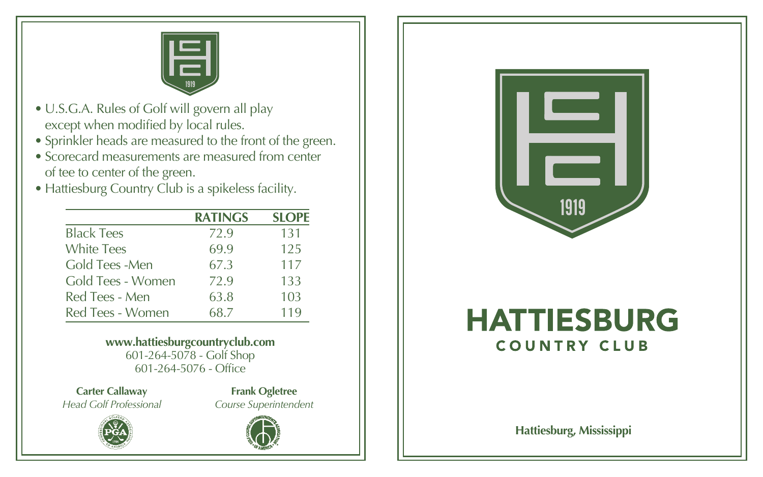

- U.S.G.A. Rules of Golf will govern all play except when modified by local rules.
- Sprinkler heads are measured to the front of the green.
- of tee to center of the green. • Scorecard measurements are measured from center
- Hattiesburg Country Club is a spikeless facility.

|                   | <b>RATINGS</b> | <b>SLOPE</b> |
|-------------------|----------------|--------------|
| <b>Black Tees</b> | 72.9           | 131          |
| <b>White Tees</b> | 69.9           | 125          |
| Gold Tees -Men    | 67.3           | 117          |
| Gold Tees - Women | 72.9           | 133          |
| Red Tees - Men    | 63.8           | 103          |
| Red Tees - Women  | 68.7           | 119          |

**www.hattiesburgcountryclub.com** 601-264-5078 - Golf Shop 601-264-5076 - Office

**Carter Callaway** *Head Golf Professional*

**Frank Ogletree** *Course Superintendent*





## **HATTIESBURG COUNTRY CLUB**

HATTIESBURG, MISSISSIPPI **Hattiesburg, Mississippi**